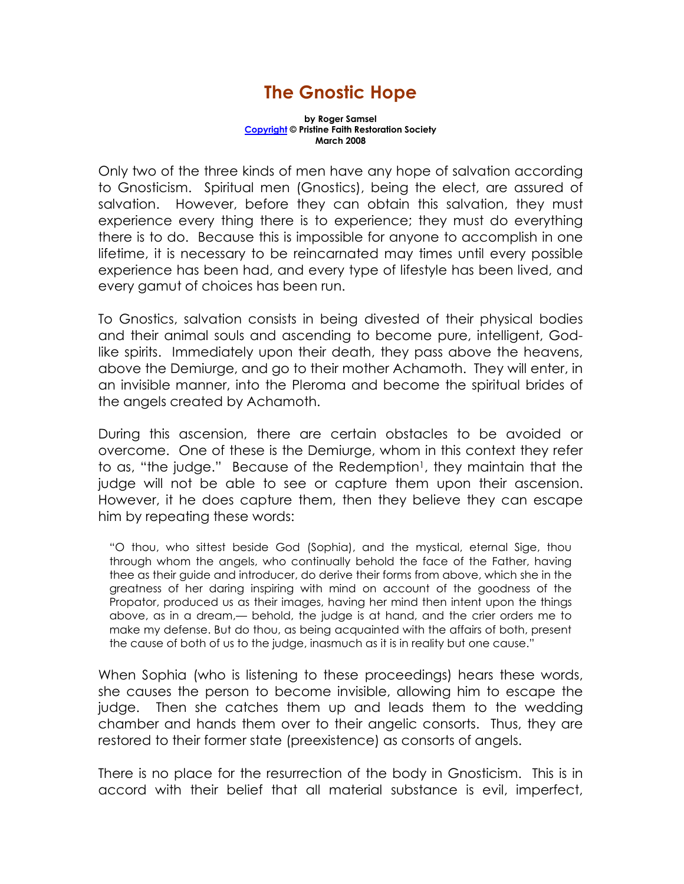## The Gnostic Hope

by Roger Samsel Copyright © Pristine Faith Restoration Society March 2008

Only two of the three kinds of men have any hope of salvation according to Gnosticism. Spiritual men (Gnostics), being the elect, are assured of salvation. However, before they can obtain this salvation, they must experience every thing there is to experience; they must do everything there is to do. Because this is impossible for anyone to accomplish in one lifetime, it is necessary to be reincarnated may times until every possible experience has been had, and every type of lifestyle has been lived, and every gamut of choices has been run.

To Gnostics, salvation consists in being divested of their physical bodies and their animal souls and ascending to become pure, intelligent, Godlike spirits. Immediately upon their death, they pass above the heavens, above the Demiurge, and go to their mother Achamoth. They will enter, in an invisible manner, into the Pleroma and become the spiritual brides of the angels created by Achamoth.

During this ascension, there are certain obstacles to be avoided or overcome. One of these is the Demiurge, whom in this context they refer to as, "the judge." Because of the Redemption<sup>1</sup>, they maintain that the judge will not be able to see or capture them upon their ascension. However, it he does capture them, then they believe they can escape him by repeating these words:

"O thou, who sittest beside God (Sophia), and the mystical, eternal Sige, thou through whom the angels, who continually behold the face of the Father, having thee as their guide and introducer, do derive their forms from above, which she in the greatness of her daring inspiring with mind on account of the goodness of the Propator, produced us as their images, having her mind then intent upon the things above, as in a dream,— behold, the judge is at hand, and the crier orders me to make my defense. But do thou, as being acquainted with the affairs of both, present the cause of both of us to the judge, inasmuch as it is in reality but one cause."

When Sophia (who is listening to these proceedings) hears these words, she causes the person to become invisible, allowing him to escape the judge. Then she catches them up and leads them to the wedding chamber and hands them over to their angelic consorts. Thus, they are restored to their former state (preexistence) as consorts of angels.

There is no place for the resurrection of the body in Gnosticism. This is in accord with their belief that all material substance is evil, imperfect,